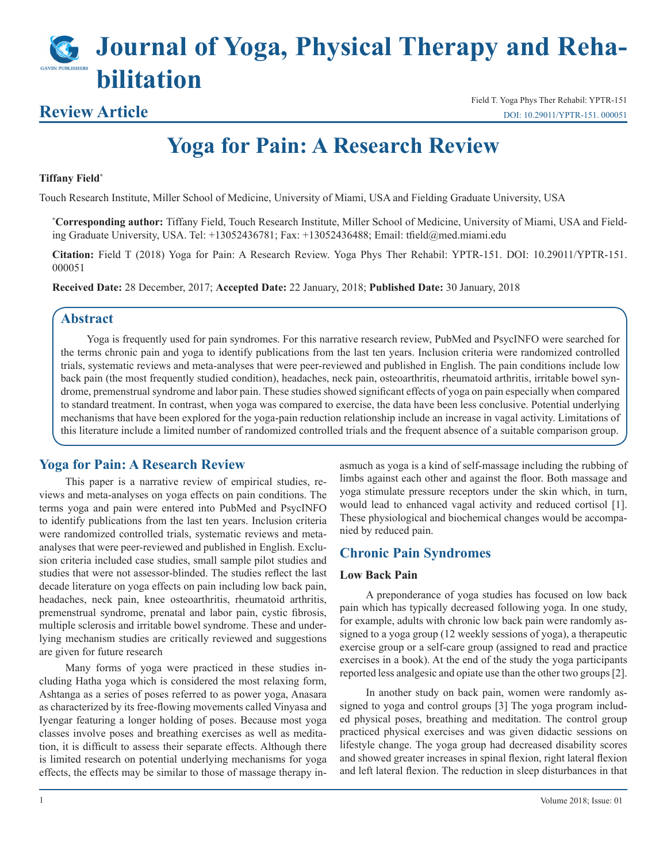# **Journal of Yoga, Physical Therapy and Rehabilitation**

## **Review Article**

Field T. Yoga Phys Ther Rehabil: YPTR-151 [DOI: 10.29011/YPTR-151. 000051](http://doi.org/10.29011/YPTR-151. 000051)

## **Yoga for Pain: A Research Review**

#### **Tiffany Field\***

Touch Research Institute, Miller School of Medicine, University of Miami, USA and Fielding Graduate University, USA

**\* Corresponding author:** Tiffany Field, Touch Research Institute, Miller School of Medicine, University of Miami, USA and Fielding Graduate University, USA. Tel: +13052436781; Fax: +13052436488; Email: tfield@med.miami.edu

**Citation:** Field T (2018) Yoga for Pain: A Research Review. Yoga Phys Ther Rehabil: YPTR-151. DOI: 10.29011/YPTR-151. 000051

**Received Date:** 28 December, 2017; **Accepted Date:** 22 January, 2018; **Published Date:** 30 January, 2018

#### **Abstract**

Yoga is frequently used for pain syndromes. For this narrative research review, PubMed and PsycINFO were searched for the terms chronic pain and yoga to identify publications from the last ten years. Inclusion criteria were randomized controlled trials, systematic reviews and meta-analyses that were peer-reviewed and published in English. The pain conditions include low back pain (the most frequently studied condition), headaches, neck pain, osteoarthritis, rheumatoid arthritis, irritable bowel syndrome, premenstrual syndrome and labor pain. These studies showed significant effects of yoga on pain especially when compared to standard treatment. In contrast, when yoga was compared to exercise, the data have been less conclusive. Potential underlying mechanisms that have been explored for the yoga-pain reduction relationship include an increase in vagal activity. Limitations of this literature include a limited number of randomized controlled trials and the frequent absence of a suitable comparison group.

### **Yoga for Pain: A Research Review**

This paper is a narrative review of empirical studies, reviews and meta-analyses on yoga effects on pain conditions. The terms yoga and pain were entered into PubMed and PsycINFO to identify publications from the last ten years. Inclusion criteria were randomized controlled trials, systematic reviews and metaanalyses that were peer-reviewed and published in English. Exclusion criteria included case studies, small sample pilot studies and studies that were not assessor-blinded. The studies reflect the last decade literature on yoga effects on pain including low back pain, headaches, neck pain, knee osteoarthritis, rheumatoid arthritis, premenstrual syndrome, prenatal and labor pain, cystic fibrosis, multiple sclerosis and irritable bowel syndrome. These and underlying mechanism studies are critically reviewed and suggestions are given for future research

Many forms of yoga were practiced in these studies including Hatha yoga which is considered the most relaxing form, Ashtanga as a series of poses referred to as power yoga, Anasara as characterized by its free-flowing movements called Vinyasa and Iyengar featuring a longer holding of poses. Because most yoga classes involve poses and breathing exercises as well as meditation, it is difficult to assess their separate effects. Although there is limited research on potential underlying mechanisms for yoga effects, the effects may be similar to those of massage therapy inasmuch as yoga is a kind of self-massage including the rubbing of limbs against each other and against the floor. Both massage and yoga stimulate pressure receptors under the skin which, in turn, would lead to enhanced vagal activity and reduced cortisol [1]. These physiological and biochemical changes would be accompanied by reduced pain.

#### **Chronic Pain Syndromes**

#### **Low Back Pain**

A preponderance of yoga studies has focused on low back pain which has typically decreased following yoga. In one study, for example, adults with chronic low back pain were randomly assigned to a yoga group (12 weekly sessions of yoga), a therapeutic exercise group or a self-care group (assigned to read and practice exercises in a book). At the end of the study the yoga participants reported less analgesic and opiate use than the other two groups [2].

In another study on back pain, women were randomly assigned to yoga and control groups [3] The yoga program included physical poses, breathing and meditation. The control group practiced physical exercises and was given didactic sessions on lifestyle change. The yoga group had decreased disability scores and showed greater increases in spinal flexion, right lateral flexion and left lateral flexion. The reduction in sleep disturbances in that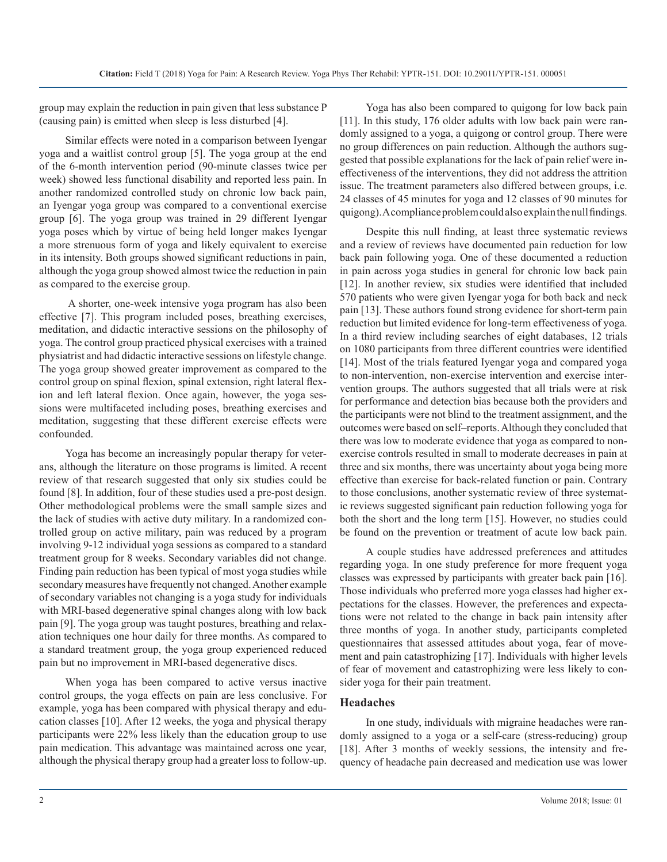group may explain the reduction in pain given that less substance P (causing pain) is emitted when sleep is less disturbed [4].

Similar effects were noted in a comparison between Iyengar yoga and a waitlist control group [5]. The yoga group at the end of the 6-month intervention period (90-minute classes twice per week) showed less functional disability and reported less pain. In another randomized controlled study on chronic low back pain, an Iyengar yoga group was compared to a conventional exercise group [6]. The yoga group was trained in 29 different Iyengar yoga poses which by virtue of being held longer makes Iyengar a more strenuous form of yoga and likely equivalent to exercise in its intensity. Both groups showed significant reductions in pain, although the yoga group showed almost twice the reduction in pain as compared to the exercise group.

 A shorter, one-week intensive yoga program has also been effective [7]. This program included poses, breathing exercises, meditation, and didactic interactive sessions on the philosophy of yoga. The control group practiced physical exercises with a trained physiatrist and had didactic interactive sessions on lifestyle change. The yoga group showed greater improvement as compared to the control group on spinal flexion, spinal extension, right lateral flexion and left lateral flexion. Once again, however, the yoga sessions were multifaceted including poses, breathing exercises and meditation, suggesting that these different exercise effects were confounded.

Yoga has become an increasingly popular therapy for veterans, although the literature on those programs is limited. A recent review of that research suggested that only six studies could be found [8]. In addition, four of these studies used a pre-post design. Other methodological problems were the small sample sizes and the lack of studies with active duty military. In a randomized controlled group on active military, pain was reduced by a program involving 9-12 individual yoga sessions as compared to a standard treatment group for 8 weeks. Secondary variables did not change. Finding pain reduction has been typical of most yoga studies while secondary measures have frequently not changed. Another example of secondary variables not changing is a yoga study for individuals with MRI-based degenerative spinal changes along with low back pain [9]. The yoga group was taught postures, breathing and relaxation techniques one hour daily for three months. As compared to a standard treatment group, the yoga group experienced reduced pain but no improvement in MRI-based degenerative discs.

When yoga has been compared to active versus inactive control groups, the yoga effects on pain are less conclusive. For example, yoga has been compared with physical therapy and education classes [10]. After 12 weeks, the yoga and physical therapy participants were 22% less likely than the education group to use pain medication. This advantage was maintained across one year, although the physical therapy group had a greater loss to follow-up.

Yoga has also been compared to quigong for low back pain [11]. In this study, 176 older adults with low back pain were randomly assigned to a yoga, a quigong or control group. There were no group differences on pain reduction. Although the authors suggested that possible explanations for the lack of pain relief were ineffectiveness of the interventions, they did not address the attrition issue. The treatment parameters also differed between groups, i.e. 24 classes of 45 minutes for yoga and 12 classes of 90 minutes for quigong). A compliance problem could also explain the null findings.

Despite this null finding, at least three systematic reviews and a review of reviews have documented pain reduction for low back pain following yoga. One of these documented a reduction in pain across yoga studies in general for chronic low back pain [12]. In another review, six studies were identified that included 570 patients who were given Iyengar yoga for both back and neck pain [13]. These authors found strong evidence for short-term pain reduction but limited evidence for long-term effectiveness of yoga. In a third review including searches of eight databases, 12 trials on 1080 participants from three different countries were identified [14]. Most of the trials featured Iyengar yoga and compared yoga to non-intervention, non-exercise intervention and exercise intervention groups. The authors suggested that all trials were at risk for performance and detection bias because both the providers and the participants were not blind to the treatment assignment, and the outcomes were based on self–reports. Although they concluded that there was low to moderate evidence that yoga as compared to nonexercise controls resulted in small to moderate decreases in pain at three and six months, there was uncertainty about yoga being more effective than exercise for back-related function or pain. Contrary to those conclusions, another systematic review of three systematic reviews suggested significant pain reduction following yoga for both the short and the long term [15]. However, no studies could be found on the prevention or treatment of acute low back pain.

A couple studies have addressed preferences and attitudes regarding yoga. In one study preference for more frequent yoga classes was expressed by participants with greater back pain [16]. Those individuals who preferred more yoga classes had higher expectations for the classes. However, the preferences and expectations were not related to the change in back pain intensity after three months of yoga. In another study, participants completed questionnaires that assessed attitudes about yoga, fear of movement and pain catastrophizing [17]. Individuals with higher levels of fear of movement and catastrophizing were less likely to consider yoga for their pain treatment.

#### **Headaches**

In one study, individuals with migraine headaches were randomly assigned to a yoga or a self-care (stress-reducing) group [18]. After 3 months of weekly sessions, the intensity and frequency of headache pain decreased and medication use was lower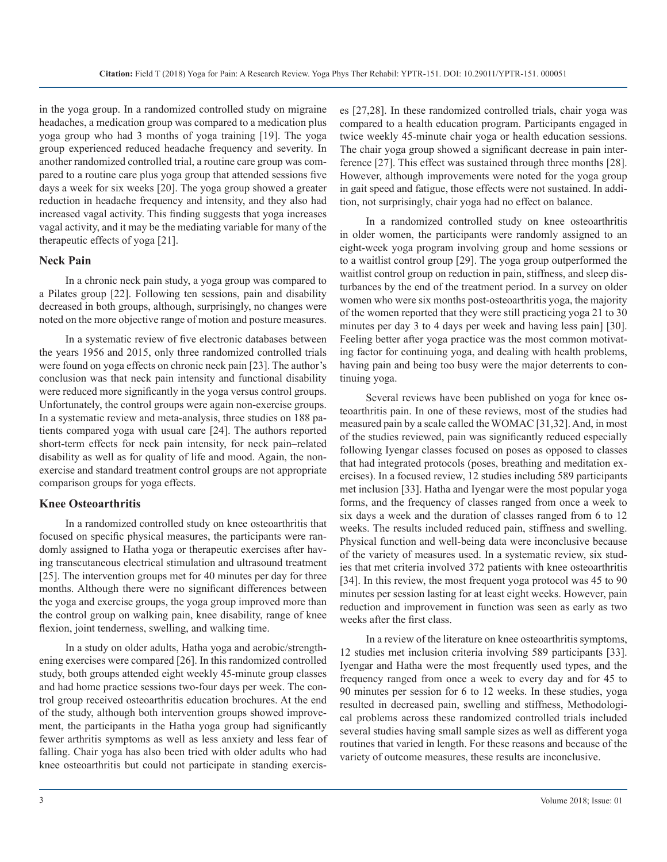in the yoga group. In a randomized controlled study on migraine headaches, a medication group was compared to a medication plus yoga group who had 3 months of yoga training [19]. The yoga group experienced reduced headache frequency and severity. In another randomized controlled trial, a routine care group was compared to a routine care plus yoga group that attended sessions five days a week for six weeks [20]. The yoga group showed a greater reduction in headache frequency and intensity, and they also had increased vagal activity. This finding suggests that yoga increases vagal activity, and it may be the mediating variable for many of the therapeutic effects of yoga [21].

#### **Neck Pain**

In a chronic neck pain study, a yoga group was compared to a Pilates group [22]. Following ten sessions, pain and disability decreased in both groups, although, surprisingly, no changes were noted on the more objective range of motion and posture measures.

In a systematic review of five electronic databases between the years 1956 and 2015, only three randomized controlled trials were found on yoga effects on chronic neck pain [23]. The author's conclusion was that neck pain intensity and functional disability were reduced more significantly in the yoga versus control groups. Unfortunately, the control groups were again non-exercise groups. In a systematic review and meta-analysis, three studies on 188 patients compared yoga with usual care [24]. The authors reported short-term effects for neck pain intensity, for neck pain–related disability as well as for quality of life and mood. Again, the nonexercise and standard treatment control groups are not appropriate comparison groups for yoga effects.

#### **Knee Osteoarthritis**

In a randomized controlled study on knee osteoarthritis that focused on specific physical measures, the participants were randomly assigned to Hatha yoga or therapeutic exercises after having transcutaneous electrical stimulation and ultrasound treatment [25]. The intervention groups met for 40 minutes per day for three months. Although there were no significant differences between the yoga and exercise groups, the yoga group improved more than the control group on walking pain, knee disability, range of knee flexion, joint tenderness, swelling, and walking time.

In a study on older adults, Hatha yoga and aerobic/strengthening exercises were compared [26]. In this randomized controlled study, both groups attended eight weekly 45-minute group classes and had home practice sessions two-four days per week. The control group received osteoarthritis education brochures. At the end of the study, although both intervention groups showed improvement, the participants in the Hatha yoga group had significantly fewer arthritis symptoms as well as less anxiety and less fear of falling. Chair yoga has also been tried with older adults who had knee osteoarthritis but could not participate in standing exercises [27,28]. In these randomized controlled trials, chair yoga was compared to a health education program. Participants engaged in twice weekly 45-minute chair yoga or health education sessions. The chair yoga group showed a significant decrease in pain interference [27]. This effect was sustained through three months [28]. However, although improvements were noted for the yoga group in gait speed and fatigue, those effects were not sustained. In addition, not surprisingly, chair yoga had no effect on balance.

In a randomized controlled study on knee osteoarthritis in older women, the participants were randomly assigned to an eight-week yoga program involving group and home sessions or to a waitlist control group [29]. The yoga group outperformed the waitlist control group on reduction in pain, stiffness, and sleep disturbances by the end of the treatment period. In a survey on older women who were six months post-osteoarthritis yoga, the majority of the women reported that they were still practicing yoga 21 to 30 minutes per day 3 to 4 days per week and having less pain] [30]. Feeling better after yoga practice was the most common motivating factor for continuing yoga, and dealing with health problems, having pain and being too busy were the major deterrents to continuing yoga.

Several reviews have been published on yoga for knee osteoarthritis pain. In one of these reviews, most of the studies had measured pain by a scale called the WOMAC [31,32]. And, in most of the studies reviewed, pain was significantly reduced especially following Iyengar classes focused on poses as opposed to classes that had integrated protocols (poses, breathing and meditation exercises). In a focused review, 12 studies including 589 participants met inclusion [33]. Hatha and Iyengar were the most popular yoga forms, and the frequency of classes ranged from once a week to six days a week and the duration of classes ranged from 6 to 12 weeks. The results included reduced pain, stiffness and swelling. Physical function and well-being data were inconclusive because of the variety of measures used. In a systematic review, six studies that met criteria involved 372 patients with knee osteoarthritis [34]. In this review, the most frequent yoga protocol was 45 to 90 minutes per session lasting for at least eight weeks. However, pain reduction and improvement in function was seen as early as two weeks after the first class.

In a review of the literature on knee osteoarthritis symptoms, 12 studies met inclusion criteria involving 589 participants [33]. Iyengar and Hatha were the most frequently used types, and the frequency ranged from once a week to every day and for 45 to 90 minutes per session for 6 to 12 weeks. In these studies, yoga resulted in decreased pain, swelling and stiffness, Methodological problems across these randomized controlled trials included several studies having small sample sizes as well as different yoga routines that varied in length. For these reasons and because of the variety of outcome measures, these results are inconclusive.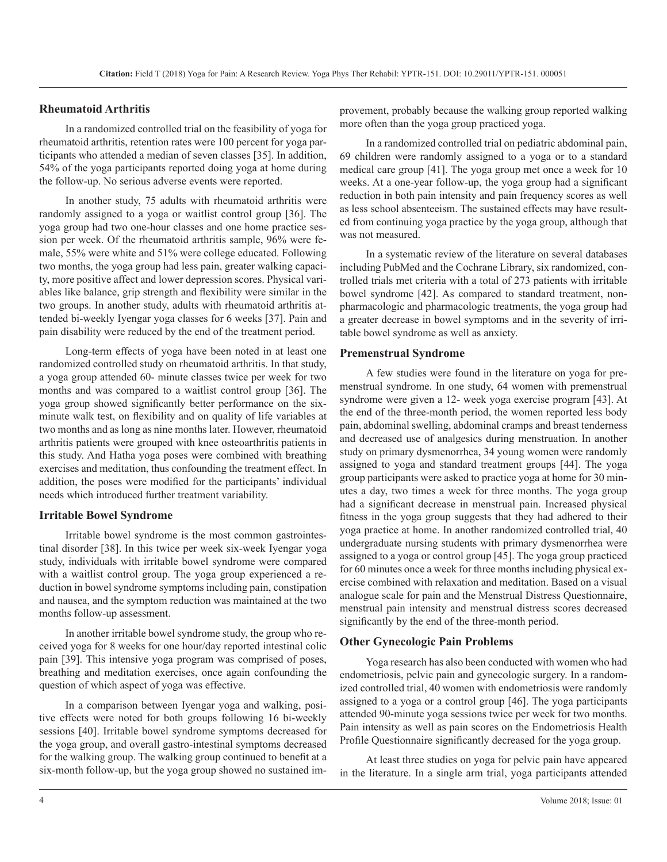#### **Rheumatoid Arthritis**

In a randomized controlled trial on the feasibility of yoga for rheumatoid arthritis, retention rates were 100 percent for yoga participants who attended a median of seven classes [35]. In addition, 54% of the yoga participants reported doing yoga at home during the follow-up. No serious adverse events were reported.

In another study, 75 adults with rheumatoid arthritis were randomly assigned to a yoga or waitlist control group [36]. The yoga group had two one-hour classes and one home practice session per week. Of the rheumatoid arthritis sample, 96% were female, 55% were white and 51% were college educated. Following two months, the yoga group had less pain, greater walking capacity, more positive affect and lower depression scores. Physical variables like balance, grip strength and flexibility were similar in the two groups. In another study, adults with rheumatoid arthritis attended bi-weekly Iyengar yoga classes for 6 weeks [37]. Pain and pain disability were reduced by the end of the treatment period.

Long-term effects of yoga have been noted in at least one randomized controlled study on rheumatoid arthritis. In that study, a yoga group attended 60- minute classes twice per week for two months and was compared to a waitlist control group [36]. The yoga group showed significantly better performance on the sixminute walk test, on flexibility and on quality of life variables at two months and as long as nine months later. However, rheumatoid arthritis patients were grouped with knee osteoarthritis patients in this study. And Hatha yoga poses were combined with breathing exercises and meditation, thus confounding the treatment effect. In addition, the poses were modified for the participants' individual needs which introduced further treatment variability.

#### **Irritable Bowel Syndrome**

Irritable bowel syndrome is the most common gastrointestinal disorder [38]. In this twice per week six-week Iyengar yoga study, individuals with irritable bowel syndrome were compared with a waitlist control group. The yoga group experienced a reduction in bowel syndrome symptoms including pain, constipation and nausea, and the symptom reduction was maintained at the two months follow-up assessment.

In another irritable bowel syndrome study, the group who received yoga for 8 weeks for one hour/day reported intestinal colic pain [39]. This intensive yoga program was comprised of poses, breathing and meditation exercises, once again confounding the question of which aspect of yoga was effective.

In a comparison between Iyengar yoga and walking, positive effects were noted for both groups following 16 bi-weekly sessions [40]. Irritable bowel syndrome symptoms decreased for the yoga group, and overall gastro-intestinal symptoms decreased for the walking group. The walking group continued to benefit at a six-month follow-up, but the yoga group showed no sustained improvement, probably because the walking group reported walking more often than the yoga group practiced yoga.

In a randomized controlled trial on pediatric abdominal pain, 69 children were randomly assigned to a yoga or to a standard medical care group [41]. The yoga group met once a week for 10 weeks. At a one-year follow-up, the yoga group had a significant reduction in both pain intensity and pain frequency scores as well as less school absenteeism. The sustained effects may have resulted from continuing yoga practice by the yoga group, although that was not measured.

In a systematic review of the literature on several databases including PubMed and the Cochrane Library, six randomized, controlled trials met criteria with a total of 273 patients with irritable bowel syndrome [42]. As compared to standard treatment, nonpharmacologic and pharmacologic treatments, the yoga group had a greater decrease in bowel symptoms and in the severity of irritable bowel syndrome as well as anxiety.

#### **Premenstrual Syndrome**

A few studies were found in the literature on yoga for premenstrual syndrome. In one study, 64 women with premenstrual syndrome were given a 12- week yoga exercise program [43]. At the end of the three-month period, the women reported less body pain, abdominal swelling, abdominal cramps and breast tenderness and decreased use of analgesics during menstruation. In another study on primary dysmenorrhea, 34 young women were randomly assigned to yoga and standard treatment groups [44]. The yoga group participants were asked to practice yoga at home for 30 minutes a day, two times a week for three months. The yoga group had a significant decrease in menstrual pain. Increased physical fitness in the yoga group suggests that they had adhered to their yoga practice at home. In another randomized controlled trial, 40 undergraduate nursing students with primary dysmenorrhea were assigned to a yoga or control group [45]. The yoga group practiced for 60 minutes once a week for three months including physical exercise combined with relaxation and meditation. Based on a visual analogue scale for pain and the Menstrual Distress Questionnaire, menstrual pain intensity and menstrual distress scores decreased significantly by the end of the three-month period.

#### **Other Gynecologic Pain Problems**

Yoga research has also been conducted with women who had endometriosis, pelvic pain and gynecologic surgery. In a randomized controlled trial, 40 women with endometriosis were randomly assigned to a yoga or a control group [46]. The yoga participants attended 90-minute yoga sessions twice per week for two months. Pain intensity as well as pain scores on the Endometriosis Health Profile Questionnaire significantly decreased for the yoga group.

At least three studies on yoga for pelvic pain have appeared in the literature. In a single arm trial, yoga participants attended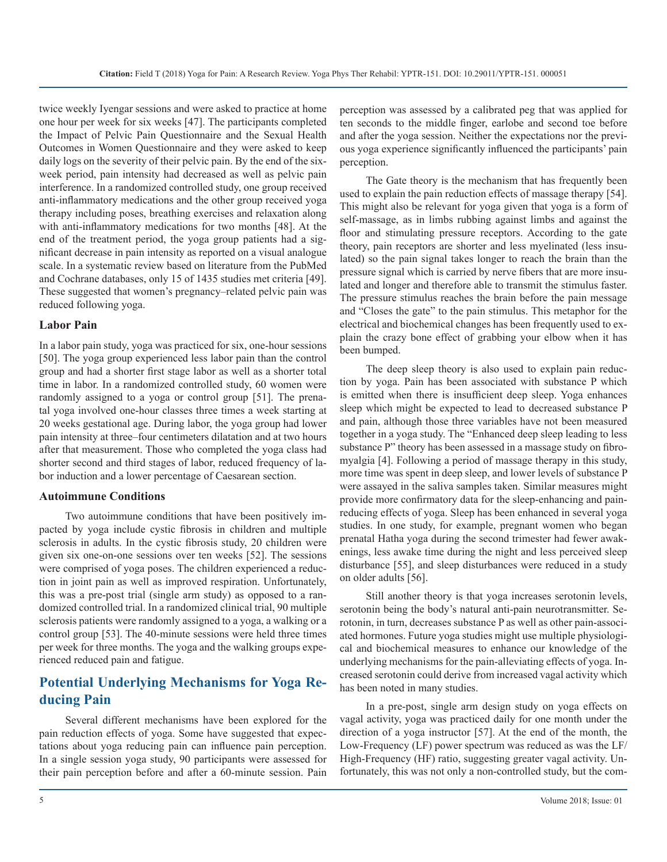twice weekly Iyengar sessions and were asked to practice at home one hour per week for six weeks [47]. The participants completed the Impact of Pelvic Pain Questionnaire and the Sexual Health Outcomes in Women Questionnaire and they were asked to keep daily logs on the severity of their pelvic pain. By the end of the sixweek period, pain intensity had decreased as well as pelvic pain interference. In a randomized controlled study, one group received anti-inflammatory medications and the other group received yoga therapy including poses, breathing exercises and relaxation along with anti-inflammatory medications for two months [48]. At the end of the treatment period, the yoga group patients had a significant decrease in pain intensity as reported on a visual analogue scale. In a systematic review based on literature from the PubMed and Cochrane databases, only 15 of 1435 studies met criteria [49]. These suggested that women's pregnancy–related pelvic pain was reduced following yoga.

#### **Labor Pain**

In a labor pain study, yoga was practiced for six, one-hour sessions [50]. The yoga group experienced less labor pain than the control group and had a shorter first stage labor as well as a shorter total time in labor. In a randomized controlled study, 60 women were randomly assigned to a yoga or control group [51]. The prenatal yoga involved one-hour classes three times a week starting at 20 weeks gestational age. During labor, the yoga group had lower pain intensity at three–four centimeters dilatation and at two hours after that measurement. Those who completed the yoga class had shorter second and third stages of labor, reduced frequency of labor induction and a lower percentage of Caesarean section.

#### **Autoimmune Conditions**

Two autoimmune conditions that have been positively impacted by yoga include cystic fibrosis in children and multiple sclerosis in adults. In the cystic fibrosis study, 20 children were given six one-on-one sessions over ten weeks [52]. The sessions were comprised of yoga poses. The children experienced a reduction in joint pain as well as improved respiration. Unfortunately, this was a pre-post trial (single arm study) as opposed to a randomized controlled trial. In a randomized clinical trial, 90 multiple sclerosis patients were randomly assigned to a yoga, a walking or a control group [53]. The 40-minute sessions were held three times per week for three months. The yoga and the walking groups experienced reduced pain and fatigue.

## **Potential Underlying Mechanisms for Yoga Reducing Pain**

Several different mechanisms have been explored for the pain reduction effects of yoga. Some have suggested that expectations about yoga reducing pain can influence pain perception. In a single session yoga study, 90 participants were assessed for their pain perception before and after a 60-minute session. Pain

perception was assessed by a calibrated peg that was applied for ten seconds to the middle finger, earlobe and second toe before and after the yoga session. Neither the expectations nor the previous yoga experience significantly influenced the participants' pain perception.

The Gate theory is the mechanism that has frequently been used to explain the pain reduction effects of massage therapy [54]. This might also be relevant for yoga given that yoga is a form of self-massage, as in limbs rubbing against limbs and against the floor and stimulating pressure receptors. According to the gate theory, pain receptors are shorter and less myelinated (less insulated) so the pain signal takes longer to reach the brain than the pressure signal which is carried by nerve fibers that are more insulated and longer and therefore able to transmit the stimulus faster. The pressure stimulus reaches the brain before the pain message and "Closes the gate" to the pain stimulus. This metaphor for the electrical and biochemical changes has been frequently used to explain the crazy bone effect of grabbing your elbow when it has been bumped.

The deep sleep theory is also used to explain pain reduction by yoga. Pain has been associated with substance P which is emitted when there is insufficient deep sleep. Yoga enhances sleep which might be expected to lead to decreased substance P and pain, although those three variables have not been measured together in a yoga study. The "Enhanced deep sleep leading to less substance P" theory has been assessed in a massage study on fibromyalgia [4]. Following a period of massage therapy in this study, more time was spent in deep sleep, and lower levels of substance P were assayed in the saliva samples taken. Similar measures might provide more confirmatory data for the sleep-enhancing and painreducing effects of yoga. Sleep has been enhanced in several yoga studies. In one study, for example, pregnant women who began prenatal Hatha yoga during the second trimester had fewer awakenings, less awake time during the night and less perceived sleep disturbance [55], and sleep disturbances were reduced in a study on older adults [56].

Still another theory is that yoga increases serotonin levels, serotonin being the body's natural anti-pain neurotransmitter. Serotonin, in turn, decreases substance P as well as other pain-associated hormones. Future yoga studies might use multiple physiological and biochemical measures to enhance our knowledge of the underlying mechanisms for the pain-alleviating effects of yoga. Increased serotonin could derive from increased vagal activity which has been noted in many studies.

In a pre-post, single arm design study on yoga effects on vagal activity, yoga was practiced daily for one month under the direction of a yoga instructor [57]. At the end of the month, the Low-Frequency (LF) power spectrum was reduced as was the LF/ High-Frequency (HF) ratio, suggesting greater vagal activity. Unfortunately, this was not only a non-controlled study, but the com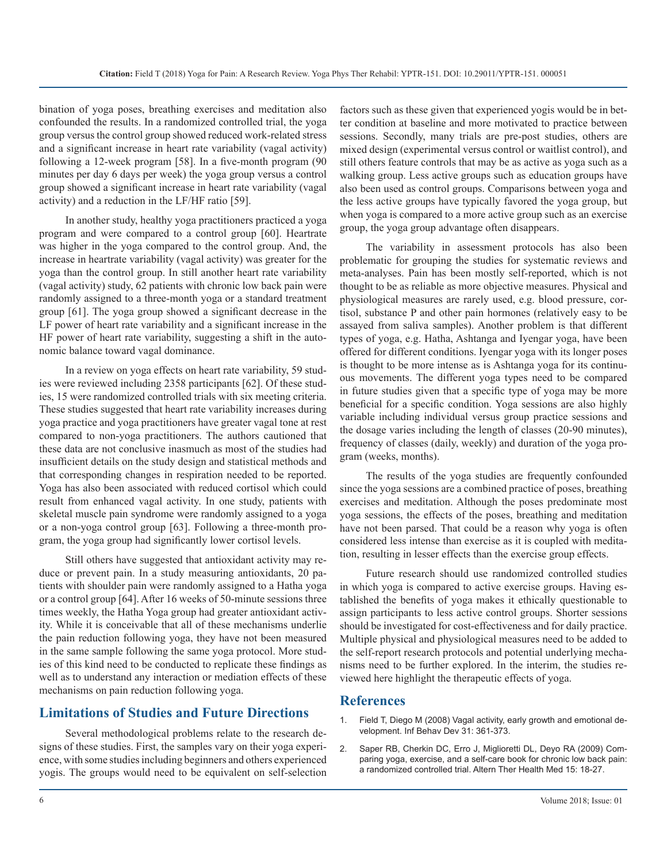bination of yoga poses, breathing exercises and meditation also confounded the results. In a randomized controlled trial, the yoga group versus the control group showed reduced work-related stress and a significant increase in heart rate variability (vagal activity) following a 12-week program [58]. In a five-month program (90 minutes per day 6 days per week) the yoga group versus a control group showed a significant increase in heart rate variability (vagal activity) and a reduction in the LF/HF ratio [59].

In another study, healthy yoga practitioners practiced a yoga program and were compared to a control group [60]. Heartrate was higher in the yoga compared to the control group. And, the increase in heartrate variability (vagal activity) was greater for the yoga than the control group. In still another heart rate variability (vagal activity) study, 62 patients with chronic low back pain were randomly assigned to a three-month yoga or a standard treatment group [61]. The yoga group showed a significant decrease in the LF power of heart rate variability and a significant increase in the HF power of heart rate variability, suggesting a shift in the autonomic balance toward vagal dominance.

In a review on yoga effects on heart rate variability, 59 studies were reviewed including 2358 participants [62]. Of these studies, 15 were randomized controlled trials with six meeting criteria. These studies suggested that heart rate variability increases during yoga practice and yoga practitioners have greater vagal tone at rest compared to non-yoga practitioners. The authors cautioned that these data are not conclusive inasmuch as most of the studies had insufficient details on the study design and statistical methods and that corresponding changes in respiration needed to be reported. Yoga has also been associated with reduced cortisol which could result from enhanced vagal activity. In one study, patients with skeletal muscle pain syndrome were randomly assigned to a yoga or a non-yoga control group [63]. Following a three-month program, the yoga group had significantly lower cortisol levels.

Still others have suggested that antioxidant activity may reduce or prevent pain. In a study measuring antioxidants, 20 patients with shoulder pain were randomly assigned to a Hatha yoga or a control group [64]. After 16 weeks of 50-minute sessions three times weekly, the Hatha Yoga group had greater antioxidant activity. While it is conceivable that all of these mechanisms underlie the pain reduction following yoga, they have not been measured in the same sample following the same yoga protocol. More studies of this kind need to be conducted to replicate these findings as well as to understand any interaction or mediation effects of these mechanisms on pain reduction following yoga.

#### **Limitations of Studies and Future Directions**

Several methodological problems relate to the research designs of these studies. First, the samples vary on their yoga experience, with some studies including beginners and others experienced yogis. The groups would need to be equivalent on self-selection factors such as these given that experienced yogis would be in better condition at baseline and more motivated to practice between sessions. Secondly, many trials are pre-post studies, others are mixed design (experimental versus control or waitlist control), and still others feature controls that may be as active as yoga such as a walking group. Less active groups such as education groups have also been used as control groups. Comparisons between yoga and the less active groups have typically favored the yoga group, but when yoga is compared to a more active group such as an exercise group, the yoga group advantage often disappears.

The variability in assessment protocols has also been problematic for grouping the studies for systematic reviews and meta-analyses. Pain has been mostly self-reported, which is not thought to be as reliable as more objective measures. Physical and physiological measures are rarely used, e.g. blood pressure, cortisol, substance P and other pain hormones (relatively easy to be assayed from saliva samples). Another problem is that different types of yoga, e.g. Hatha, Ashtanga and Iyengar yoga, have been offered for different conditions. Iyengar yoga with its longer poses is thought to be more intense as is Ashtanga yoga for its continuous movements. The different yoga types need to be compared in future studies given that a specific type of yoga may be more beneficial for a specific condition. Yoga sessions are also highly variable including individual versus group practice sessions and the dosage varies including the length of classes (20-90 minutes), frequency of classes (daily, weekly) and duration of the yoga program (weeks, months).

The results of the yoga studies are frequently confounded since the yoga sessions are a combined practice of poses, breathing exercises and meditation. Although the poses predominate most yoga sessions, the effects of the poses, breathing and meditation have not been parsed. That could be a reason why yoga is often considered less intense than exercise as it is coupled with meditation, resulting in lesser effects than the exercise group effects.

Future research should use randomized controlled studies in which yoga is compared to active exercise groups. Having established the benefits of yoga makes it ethically questionable to assign participants to less active control groups. Shorter sessions should be investigated for cost-effectiveness and for daily practice. Multiple physical and physiological measures need to be added to the self-report research protocols and potential underlying mechanisms need to be further explored. In the interim, the studies reviewed here highlight the therapeutic effects of yoga.

#### **References**

- 1. [Field T, Diego M \(2008\) Vagal activity, early growth and emotional de](https://www.ncbi.nlm.nih.gov/pubmed/18295898)velopment. Inf Behav Dev 31: 361-373.
- 2. [Saper RB, Cherkin DC, Erro J, Miglioretti DL, Deyo RA \(2009\) Com](http://annals.org/aim/fullarticle/718899/comparing-yoga-exercise-self-care-book-chronic-low-back-pain)paring yoga, exercise, and a self-care book for chronic low back pain: [a randomized controlled trial. Altern Ther Health Med 15: 18-27](http://annals.org/aim/fullarticle/718899/comparing-yoga-exercise-self-care-book-chronic-low-back-pain).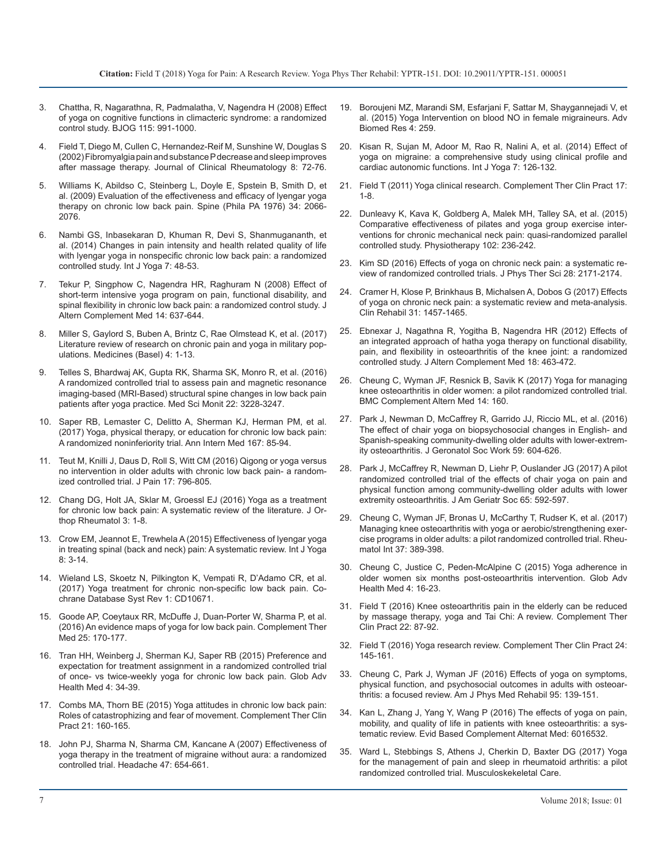- 3. [Chattha, R, Nagarathna, R, Padmalatha, V, Nagendra H \(2008\) Effect](https://www.ncbi.nlm.nih.gov/pubmed/18503578) [of yoga on cognitive functions in climacteric syndrome: a randomized](https://www.ncbi.nlm.nih.gov/pubmed/18503578) [control study. BJOG 115: 991-1000](https://www.ncbi.nlm.nih.gov/pubmed/18503578).
- 4. [Field T, Diego M, Cullen C, Hernandez-Reif M, Sunshine W, Douglas S](https://www.ncbi.nlm.nih.gov/pubmed/17041326)  [\(2002\) Fibromyalgia pain and substance P decrease and sleep improves](https://www.ncbi.nlm.nih.gov/pubmed/17041326) [after massage therapy. Journal of Clinical Rheumatology 8: 72-76.](https://www.ncbi.nlm.nih.gov/pubmed/17041326)
- 5. [Williams K, Abildso C, Steinberg L, Doyle E, Spstein B, Smith D, et](https://www.ncbi.nlm.nih.gov/pubmed/19701112) [al. \(2009\) Evaluation of the effectiveness and efficacy of lyengar yoga](https://www.ncbi.nlm.nih.gov/pubmed/19701112) [therapy on chronic low back pain. Spine \(Phila PA 1976\) 34: 2066-](https://www.ncbi.nlm.nih.gov/pubmed/19701112) [2076.](https://www.ncbi.nlm.nih.gov/pubmed/19701112)
- 6. [Nambi GS, Inbasekaran D, Khuman R, Devi S, Shanmugananth, et](https://www.ncbi.nlm.nih.gov/pmc/articles/PMC4097916/)  [al. \(2014\) Changes in pain intensity and health related quality of life](https://www.ncbi.nlm.nih.gov/pmc/articles/PMC4097916/)  [with lyengar yoga in nonspecific chronic low back pain: a randomized](https://www.ncbi.nlm.nih.gov/pmc/articles/PMC4097916/)  [controlled study. Int J Yoga 7: 48-53.](https://www.ncbi.nlm.nih.gov/pmc/articles/PMC4097916/)
- 7. [Tekur P, Singphow C, Nagendra HR, Raghuram N \(2008\) Effect of](https://www.ncbi.nlm.nih.gov/pubmed/18673078) [short-term intensive yoga program on pain, functional disability, and](https://www.ncbi.nlm.nih.gov/pubmed/18673078)  [spinal flexibility in chronic low back pain: a randomized control study. J](https://www.ncbi.nlm.nih.gov/pubmed/18673078)  [Altern Complement Med 14: 637-644](https://www.ncbi.nlm.nih.gov/pubmed/18673078).
- 8. [Miller S, Gaylord S, Buben A, Brintz C, Rae Olmstead K, et al. \(2017\)](https://www.ncbi.nlm.nih.gov/pmc/articles/PMC5622399/)  [Literature review of research on chronic pain and yoga in military pop](https://www.ncbi.nlm.nih.gov/pmc/articles/PMC5622399/)[ulations. Medicines \(Basel\) 4: 1-13.](https://www.ncbi.nlm.nih.gov/pmc/articles/PMC5622399/)
- 9. [Telles S, Bhardwaj AK, Gupta RK, Sharma SK, Monro R, et al. \(2016\)](https://www.ncbi.nlm.nih.gov/pmc/articles/PMC5031167/)  [A randomized controlled trial to assess pain and magnetic resonance](https://www.ncbi.nlm.nih.gov/pmc/articles/PMC5031167/)  [imaging-based \(MRI-Based\) structural spine changes in low back pain](https://www.ncbi.nlm.nih.gov/pmc/articles/PMC5031167/)  [patients after yoga practice. Med Sci Monit 22: 3228-3247](https://www.ncbi.nlm.nih.gov/pmc/articles/PMC5031167/).
- 10. [Saper RB, Lemaster C, Delitto A, Sherman KJ, Herman PM, et al.](https://www.ncbi.nlm.nih.gov/pubmed/28631003) [\(2017\) Yoga, physical therapy, or education for chronic low back pain:](https://www.ncbi.nlm.nih.gov/pubmed/28631003)  [A randomized noninferiority trial. Ann Intern Med 167: 85-94](https://www.ncbi.nlm.nih.gov/pubmed/28631003).
- 11. [Teut M, Knilli J, Daus D, Roll S, Witt CM \(2016\) Qigong or yoga versus](https://www.ncbi.nlm.nih.gov/pubmed/27046802)  [no intervention in older adults with chronic low back pain- a random](https://www.ncbi.nlm.nih.gov/pubmed/27046802)[ized controlled trial. J Pain 17: 796-805](https://www.ncbi.nlm.nih.gov/pubmed/27046802).
- 12. [Chang DG, Holt JA, Sklar M, Groessl EJ \(2016\) Yoga as a treatment](https://www.ncbi.nlm.nih.gov/pubmed/27231715)  [for chronic low back pain: A systematic review of the literature. J Or](https://www.ncbi.nlm.nih.gov/pubmed/27231715)[thop Rheumatol 3: 1-8](https://www.ncbi.nlm.nih.gov/pubmed/27231715).
- 13. [Crow EM, Jeannot E, Trewhela A \(2015\) Effectiveness of lyengar yoga](https://www.ncbi.nlm.nih.gov/pubmed/25558128) [in treating spinal \(back and neck\) pain: A systematic review. Int J Yoga](https://www.ncbi.nlm.nih.gov/pubmed/25558128)  [8: 3-14.](https://www.ncbi.nlm.nih.gov/pubmed/25558128)
- 14. [Wieland LS, Skoetz N, Pilkington K, Vempati R, D'Adamo CR, et al.](https://www.ncbi.nlm.nih.gov/pubmed/28076926) [\(2017\) Yoga treatment for chronic non-specific low back pain. Co](https://www.ncbi.nlm.nih.gov/pubmed/28076926)[chrane Database Syst Rev 1: CD10671](https://www.ncbi.nlm.nih.gov/pubmed/28076926).
- 15. [Goode AP, Coeytaux RR, McDuffe J, Duan-Porter W, Sharma P, et al.](https://www.ncbi.nlm.nih.gov/pubmed/27062965) [\(2016\) An evidence maps of yoga for low back pain. Complement Ther](https://www.ncbi.nlm.nih.gov/pubmed/27062965)  [Med 25: 170-177](https://www.ncbi.nlm.nih.gov/pubmed/27062965).
- 16. [Tran HH, Weinberg J, Sherman KJ, Saper RB \(2015\) Preference and](https://www.ncbi.nlm.nih.gov/pubmed/25694850) [expectation for treatment assignment in a randomized controlled trial](https://www.ncbi.nlm.nih.gov/pubmed/25694850)  [of once- vs twice-weekly yoga for chronic low back pain. Glob Adv](https://www.ncbi.nlm.nih.gov/pubmed/25694850)  [Health Med 4: 34-39](https://www.ncbi.nlm.nih.gov/pubmed/25694850).
- 17. [Combs MA, Thorn BE \(2015\) Yoga attitudes in chronic low back pain:](https://www.ncbi.nlm.nih.gov/pubmed/26256134)  [Roles of catastrophizing and fear of movement. Complement Ther Clin](https://www.ncbi.nlm.nih.gov/pubmed/26256134)  [Pract 21: 160-165.](https://www.ncbi.nlm.nih.gov/pubmed/26256134)
- 18. [John PJ, Sharma N, Sharma CM, Kancane A \(2007\) Effectiveness of](https://www.ncbi.nlm.nih.gov/pubmed/17501846) [yoga therapy in the treatment of migraine without aura: a randomized](https://www.ncbi.nlm.nih.gov/pubmed/17501846)  [controlled trial. Headache 47: 654-661.](https://www.ncbi.nlm.nih.gov/pubmed/17501846)
- 19. [Boroujeni MZ, Marandi SM, Esfarjani F, Sattar M, Shaygannejadi V, et](https://www.ncbi.nlm.nih.gov/pubmed/26918241)  al. (2015) Yoga Intervention on blood NO in female migraineurs. Adv [Biomed Res 4: 259](https://www.ncbi.nlm.nih.gov/pubmed/26918241).
- 20. [Kisan R, Sujan M, Adoor M, Rao R, Nalini A, et al. \(2014\) Effect of](https://www.ncbi.nlm.nih.gov/pubmed/25035622) yoga on migraine: a comprehensive study using clinical profile and [cardiac autonomic functions. Int J Yoga 7: 126-132](https://www.ncbi.nlm.nih.gov/pubmed/25035622).
- 21. [Field T \(2011\) Yoga clinical research. Complement Ther Clin Pract 17:](https://www.ncbi.nlm.nih.gov/pubmed/21168106)  1-8.
- 22. [Dunleavy K, Kava K, Goldberg A, Malek MH, Talley SA, et al. \(2015\)](https://www.ncbi.nlm.nih.gov/pubmed/26435334)  [Comparative effectiveness of pilates and yoga group exercise inter](https://www.ncbi.nlm.nih.gov/pubmed/26435334)[ventions for chronic mechanical neck pain: quasi-randomized parallel](https://www.ncbi.nlm.nih.gov/pubmed/26435334)  [controlled study. Physiotherapy 102: 236-242.](https://www.ncbi.nlm.nih.gov/pubmed/26435334)
- 23. [Kim SD \(2016\) Effects of yoga on chronic neck pain: a systematic re](https://www.ncbi.nlm.nih.gov/pubmed/27512290)[view of randomized controlled trials. J Phys Ther Sci 28: 2171-2174](https://www.ncbi.nlm.nih.gov/pubmed/27512290).
- 24. [Cramer H, Klose P, Brinkhaus B, Michalsen A, Dobos G \(2017\) Effects](https://www.ncbi.nlm.nih.gov/pubmed/29050510) [of yoga on chronic neck pain: a systematic review and meta-analysis.](https://www.ncbi.nlm.nih.gov/pubmed/29050510)  [Clin Rehabil 31: 1457-1465.](https://www.ncbi.nlm.nih.gov/pubmed/29050510)
- 25. [Ebnexar J, Nagathna R, Yogitha B, Nagendra HR \(2012\) Effects of](https://www.ncbi.nlm.nih.gov/pubmed/22537508)  [an integrated approach of hatha yoga therapy on functional disability,](https://www.ncbi.nlm.nih.gov/pubmed/22537508)  [pain, and flexibility in osteoarthritis of the knee joint: a randomized](https://www.ncbi.nlm.nih.gov/pubmed/22537508)  [controlled study. J Altern Complement Med 18: 463-472.](https://www.ncbi.nlm.nih.gov/pubmed/22537508)
- 26. [Cheung C, Wyman JF, Resnick B, Savik K \(2017\) Yoga for managing](https://www.ncbi.nlm.nih.gov/pubmed/24886638)  [knee osteoarthritis in older women: a pilot randomized controlled trial.](https://www.ncbi.nlm.nih.gov/pubmed/24886638) [BMC Complement Altern Med 14: 160.](https://www.ncbi.nlm.nih.gov/pubmed/24886638)
- 27. Park J, Newman D, McCaffrey R, Garrido JJ, Riccio ML, et al. (2016) The effect of chair yoga on biopsychosocial changes in English- and Spanish-speaking community-dwelling older adults with lower-extremity osteoarthritis. J Geronatol Soc Work 59: 604-626.
- 28. [Park J, McCaffrey R, Newman D, Liehr P, Ouslander JG \(2017\) A pilot](https://www.ncbi.nlm.nih.gov/pubmed/28008603)  [randomized controlled trial of the effects of chair yoga on pain and](https://www.ncbi.nlm.nih.gov/pubmed/28008603)  [physical function among community-dwelling older adults with lower](https://www.ncbi.nlm.nih.gov/pubmed/28008603) [extremity osteoarthritis. J Am Geriatr Soc 65: 592-597](https://www.ncbi.nlm.nih.gov/pubmed/28008603).
- 29. [Cheung C, Wyman JF, Bronas U, McCarthy T, Rudser K, et al. \(2017\)](https://www.ncbi.nlm.nih.gov/pubmed/27913870)  [Managing knee osteoarthritis with yoga or aerobic/strengthening exer](https://www.ncbi.nlm.nih.gov/pubmed/27913870)[cise programs in older adults: a pilot randomized controlled trial. Rheu](https://www.ncbi.nlm.nih.gov/pubmed/27913870)[matol Int 37: 389-398.](https://www.ncbi.nlm.nih.gov/pubmed/27913870)
- 30. [Cheung C, Justice C, Peden-McAlpine C \(2015\) Yoga adherence in](https://www.ncbi.nlm.nih.gov/pmc/articles/PMC4424934/)  older women six months post-osteoarthritis intervention. Glob Adv [Health Med 4: 16-23](https://www.ncbi.nlm.nih.gov/pmc/articles/PMC4424934/).
- 31. [Field T \(2016\) Knee osteoarthritis pain in the elderly can be reduced](https://www.ncbi.nlm.nih.gov/pubmed/26850812)  by massage therapy, yoga and Tai Chi: A review. Complement Ther [Clin Pract 22: 87-92.](https://www.ncbi.nlm.nih.gov/pubmed/26850812)
- 32. [Field T \(2016\) Yoga research review. Complement Ther Clin Pract 24:](https://www.ncbi.nlm.nih.gov/pubmed/27502816)  145-161.
- 33. [Cheung C, Park J, Wyman JF \(2016\) Effects of yoga on symptoms,](https://www.ncbi.nlm.nih.gov/pubmed/26495816) [physical function, and psychosocial outcomes in adults with osteoar](https://www.ncbi.nlm.nih.gov/pubmed/26495816)[thritis: a focused review. Am J Phys Med Rehabil 95: 139-151](https://www.ncbi.nlm.nih.gov/pubmed/26495816).
- 34. [Kan L, Zhang J, Yang Y, Wang P \(2016\) The effects of yoga on pain,](https://www.ncbi.nlm.nih.gov/pubmed/27777597)  [mobility, and quality of life in patients with knee osteoarthritis: a sys](https://www.ncbi.nlm.nih.gov/pubmed/27777597)[tematic review. Evid Based Complement Alternat Med: 6016532.](https://www.ncbi.nlm.nih.gov/pubmed/27777597)
- 35. [Ward L, Stebbings S, Athens J, Cherkin D, Baxter DG \(2017\) Yoga](https://www.ncbi.nlm.nih.gov/pubmed/28621011)  [for the management of pain and sleep in rheumatoid arthritis: a pilot](https://www.ncbi.nlm.nih.gov/pubmed/28621011)  [randomized controlled trial. Musculoskekeletal Care](https://www.ncbi.nlm.nih.gov/pubmed/28621011).